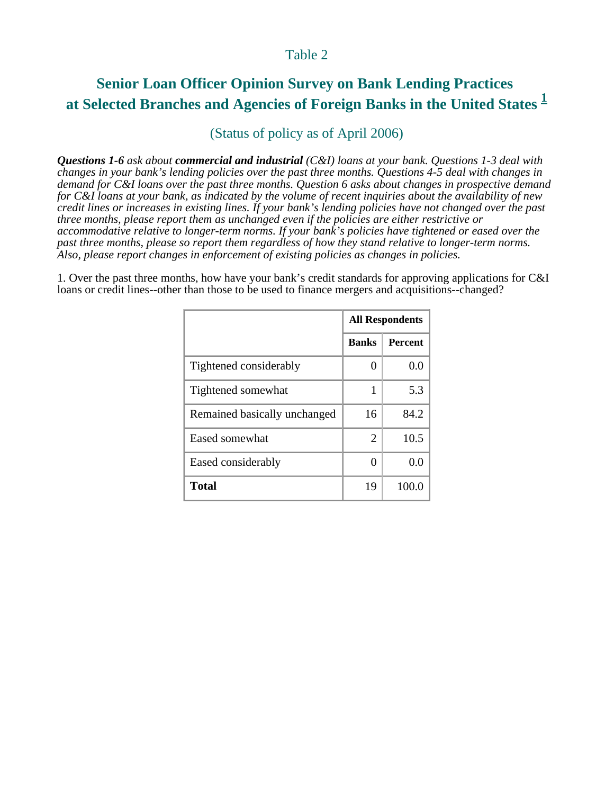## Table 2

## **Senior Loan Officer Opinion Survey on Bank Lending Practices at Selected Branches and Agencies of Foreign Banks in the United States <sup>1</sup>**

## (Status of policy as of April 2006)

*Questions 1-6 ask about commercial and industrial (C&I) loans at your bank. Questions 1-3 deal with changes in your bank's lending policies over the past three months. Questions 4-5 deal with changes in demand for C&I loans over the past three months. Question 6 asks about changes in prospective demand for C&I loans at your bank, as indicated by the volume of recent inquiries about the availability of new credit lines or increases in existing lines. If your bank's lending policies have not changed over the past three months, please report them as unchanged even if the policies are either restrictive or accommodative relative to longer-term norms. If your bank's policies have tightened or eased over the past three months, please so report them regardless of how they stand relative to longer-term norms. Also, please report changes in enforcement of existing policies as changes in policies.*

1. Over the past three months, how have your bank's credit standards for approving applications for C&I loans or credit lines--other than those to be used to finance mergers and acquisitions--changed?

|                              | <b>All Respondents</b> |                |
|------------------------------|------------------------|----------------|
|                              | <b>Banks</b>           | <b>Percent</b> |
| Tightened considerably       |                        | 0.0            |
| Tightened somewhat           | 1                      | 5.3            |
| Remained basically unchanged | 16                     | 84.2           |
| Eased somewhat               | 2                      | 10.5           |
| Eased considerably           | $\mathbf{\Omega}$      | 0.0            |
| <b>Total</b>                 | 19                     | 100.0          |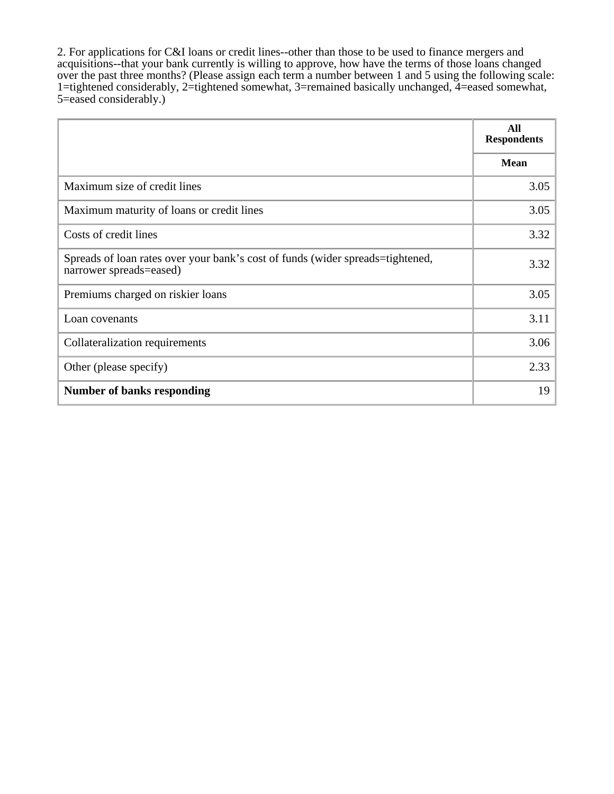2. For applications for C&I loans or credit lines--other than those to be used to finance mergers and acquisitions--that your bank currently is willing to approve, how have the terms of those loans changed over the past three months? (Please assign each term a number between 1 and 5 using the following scale: 1=tightened considerably, 2=tightened somewhat, 3=remained basically unchanged, 4=eased somewhat, 5=eased considerably.)

|                                                                                                           | All<br><b>Respondents</b> |
|-----------------------------------------------------------------------------------------------------------|---------------------------|
|                                                                                                           | <b>Mean</b>               |
| Maximum size of credit lines                                                                              | 3.05                      |
| Maximum maturity of loans or credit lines                                                                 | 3.05                      |
| Costs of credit lines                                                                                     | 3.32                      |
| Spreads of loan rates over your bank's cost of funds (wider spreads=tightened,<br>narrower spreads=eased) | 3.32                      |
| Premiums charged on riskier loans                                                                         | 3.05                      |
| Loan covenants                                                                                            | 3.11                      |
| Collateralization requirements                                                                            | 3.06                      |
| Other (please specify)                                                                                    | 2.33                      |
| <b>Number of banks responding</b>                                                                         | 19                        |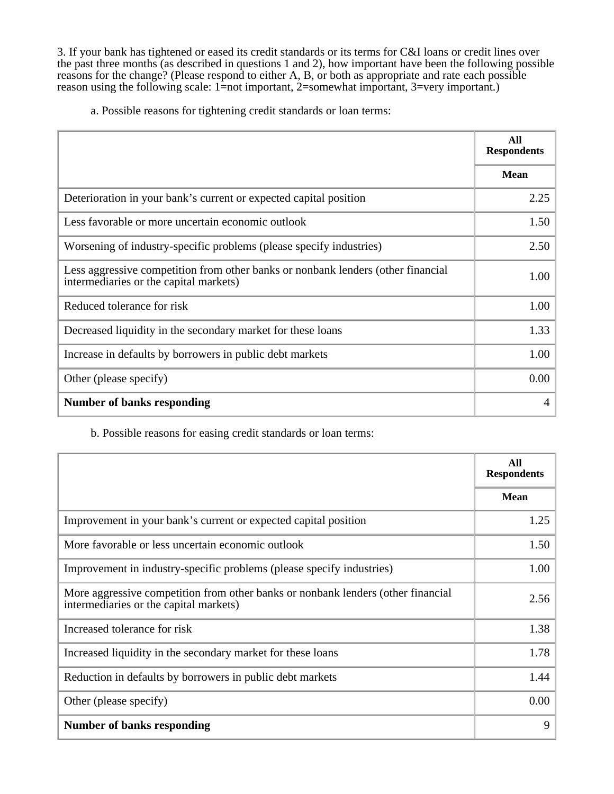3. If your bank has tightened or eased its credit standards or its terms for C&I loans or credit lines over the past three months (as described in questions 1 and 2), how important have been the following possible reasons for the change? (Please respond to either A, B, or both as appropriate and rate each possible reason using the following scale: 1=not important, 2=somewhat important, 3=very important.)

a. Possible reasons for tightening credit standards or loan terms:

|                                                                                                                            | All<br><b>Respondents</b> |
|----------------------------------------------------------------------------------------------------------------------------|---------------------------|
|                                                                                                                            | <b>Mean</b>               |
| Deterioration in your bank's current or expected capital position                                                          | 2.25                      |
| Less favorable or more uncertain economic outlook                                                                          | 1.50                      |
| Worsening of industry-specific problems (please specify industries)                                                        | 2.50                      |
| Less aggressive competition from other banks or nonbank lenders (other financial<br>intermediaries or the capital markets) | 1.00                      |
| Reduced tolerance for risk                                                                                                 | 1.00                      |
| Decreased liquidity in the secondary market for these loans                                                                | 1.33                      |
| Increase in defaults by borrowers in public debt markets                                                                   | 1.00                      |
| Other (please specify)                                                                                                     | 0.00                      |
| <b>Number of banks responding</b>                                                                                          | 4                         |

b. Possible reasons for easing credit standards or loan terms:

|                                                                                                                            | All<br><b>Respondents</b> |
|----------------------------------------------------------------------------------------------------------------------------|---------------------------|
|                                                                                                                            | <b>Mean</b>               |
| Improvement in your bank's current or expected capital position                                                            | 1.25                      |
| More favorable or less uncertain economic outlook                                                                          | 1.50                      |
| Improvement in industry-specific problems (please specify industries)                                                      | 1.00                      |
| More aggressive competition from other banks or nonbank lenders (other financial<br>intermediaries or the capital markets) | 2.56                      |
| Increased tolerance for risk                                                                                               | 1.38                      |
| Increased liquidity in the secondary market for these loans                                                                | 1.78                      |
| Reduction in defaults by borrowers in public debt markets                                                                  | 1.44                      |
| Other (please specify)                                                                                                     | 0.00                      |
| <b>Number of banks responding</b>                                                                                          | 9                         |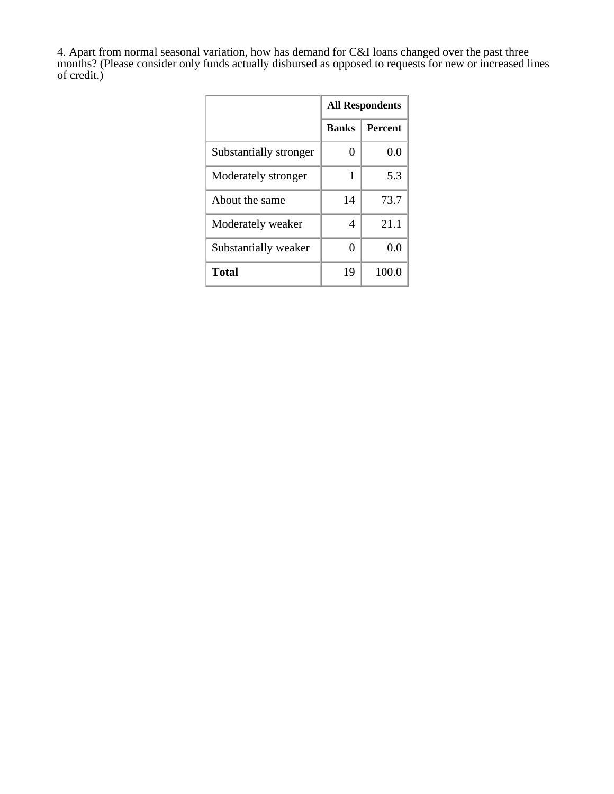4. Apart from normal seasonal variation, how has demand for C&I loans changed over the past three months? (Please consider only funds actually disbursed as opposed to requests for new or increased lines of credit.)

|                        | <b>All Respondents</b> |                |
|------------------------|------------------------|----------------|
|                        | <b>Banks</b>           | <b>Percent</b> |
| Substantially stronger | $^{()}$                | 0.0            |
| Moderately stronger    | 1                      | 5.3            |
| About the same         | 14                     | 73.7           |
| Moderately weaker      | 4                      | 21.1           |
| Substantially weaker   | 0                      | 0.0            |
| <b>Total</b>           | 19                     | 100.0          |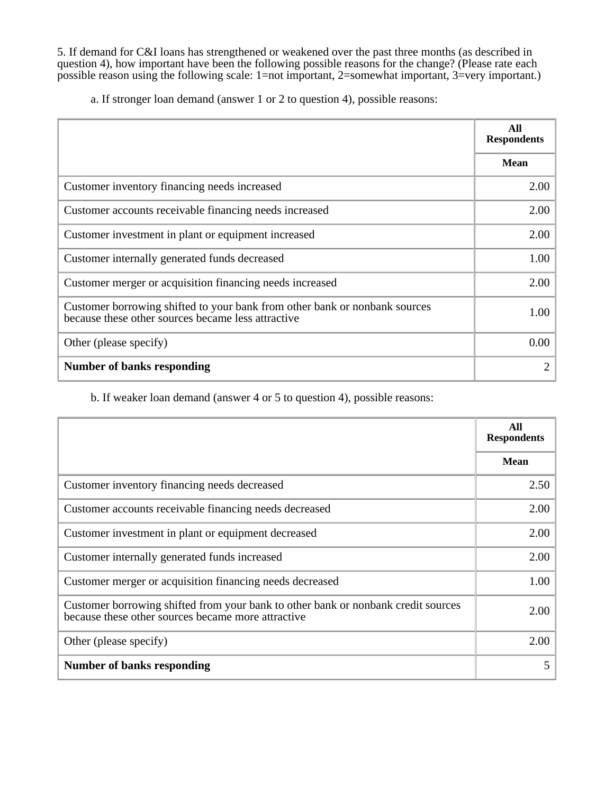5. If demand for C&I loans has strengthened or weakened over the past three months (as described in question 4), how important have been the following possible reasons for the change? (Please rate each possible reason using the following scale: 1=not important, 2=somewhat important, 3=very important.)

a. If stronger loan demand (answer 1 or 2 to question 4), possible reasons:

|                                                                                                                                  | All<br><b>Respondents</b> |
|----------------------------------------------------------------------------------------------------------------------------------|---------------------------|
|                                                                                                                                  | <b>Mean</b>               |
| Customer inventory financing needs increased                                                                                     | 2.00                      |
| Customer accounts receivable financing needs increased                                                                           | 2.00                      |
| Customer investment in plant or equipment increased                                                                              | 2.00                      |
| Customer internally generated funds decreased                                                                                    | 1.00                      |
| Customer merger or acquisition financing needs increased                                                                         | 2.00                      |
| Customer borrowing shifted to your bank from other bank or nonbank sources<br>because these other sources became less attractive | 1.00                      |
| Other (please specify)                                                                                                           | 0.00                      |
| <b>Number of banks responding</b>                                                                                                | 2                         |

b. If weaker loan demand (answer 4 or 5 to question 4), possible reasons:

|                                                                                                                                         | All<br><b>Respondents</b> |
|-----------------------------------------------------------------------------------------------------------------------------------------|---------------------------|
|                                                                                                                                         | <b>Mean</b>               |
| Customer inventory financing needs decreased                                                                                            | 2.50                      |
| Customer accounts receivable financing needs decreased                                                                                  | 2.00                      |
| Customer investment in plant or equipment decreased                                                                                     | 2.00                      |
| Customer internally generated funds increased                                                                                           | 2.00                      |
| Customer merger or acquisition financing needs decreased                                                                                | 1.00                      |
| Customer borrowing shifted from your bank to other bank or nonbank credit sources<br>because these other sources became more attractive | 2.00                      |
| Other (please specify)                                                                                                                  | 2.00                      |
| <b>Number of banks responding</b>                                                                                                       | 5                         |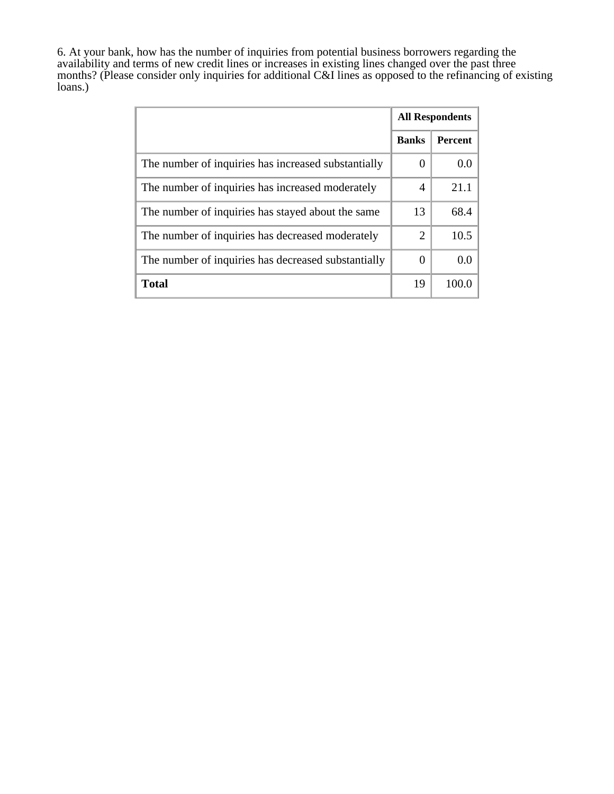6. At your bank, how has the number of inquiries from potential business borrowers regarding the availability and terms of new credit lines or increases in existing lines changed over the past three months? (Please consider only inquiries for additional C&I lines as opposed to the refinancing of existing loans.)

|                                                     | <b>All Respondents</b> |                  |
|-----------------------------------------------------|------------------------|------------------|
|                                                     | <b>Banks</b>           | Percent          |
| The number of inquiries has increased substantially | $\Omega$               | 0.0              |
| The number of inquiries has increased moderately    | 4                      | 21.1             |
| The number of inquiries has stayed about the same   | 13                     | 68.4             |
| The number of inquiries has decreased moderately    | 2                      | 10.5             |
| The number of inquiries has decreased substantially | $\Omega$               | 0.0 <sub>1</sub> |
| <b>Total</b>                                        | 19                     |                  |